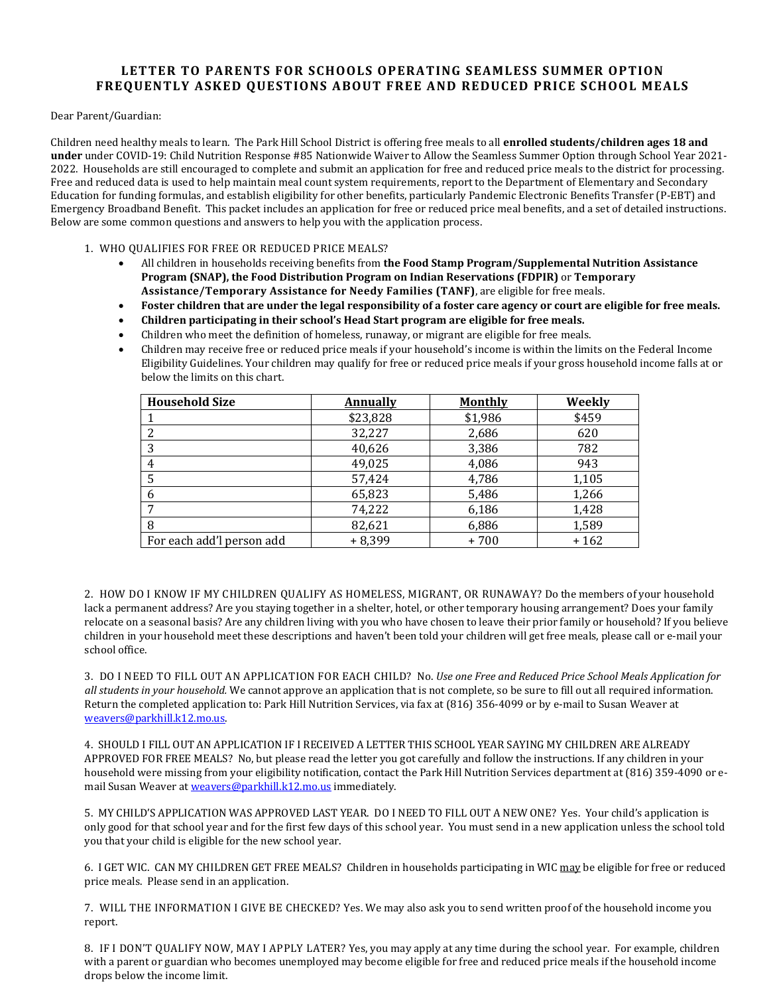## **LETTER TO PARENTS FOR SCHOOLS OPERATING SEAMLESS SUMMER OPTION FREQUENTLY ASKED QUESTIONS ABOUT FREE AND REDUCED PRICE SCHOOL MEALS**

Dear Parent/Guardian:

Children need healthy meals to learn. The Park Hill School District is offering free meals to all **enrolled students/children ages 18 and under** under COVID-19: Child Nutrition Response #85 Nationwide Waiver to Allow the Seamless Summer Option through School Year 2021- 2022. Households are still encouraged to complete and submit an application for free and reduced price meals to the district for processing. Free and reduced data is used to help maintain meal count system requirements, report to the Department of Elementary and Secondary Education for funding formulas, and establish eligibility for other benefits, particularly Pandemic Electronic Benefits Transfer (P-EBT) and Emergency Broadband Benefit. This packet includes an application for free or reduced price meal benefits, and a set of detailed instructions. Below are some common questions and answers to help you with the application process.

1. WHO QUALIFIES FOR FREE OR REDUCED PRICE MEALS?

- All children in households receiving benefits from **the Food Stamp Program/Supplemental Nutrition Assistance Program (SNAP), the Food Distribution Program on Indian Reservations (FDPIR)** or **Temporary Assistance/Temporary Assistance for Needy Families (TANF)**, are eligible for free meals.
- Foster children that are under the legal responsibility of a foster care agency or court are eligible for free meals.
- **Children participating in their school's Head Start program are eligible for free meals.**
- Children who meet the definition of homeless, runaway, or migrant are eligible for free meals.
- Children may receive free or reduced price meals if your household's income is within the limits on the Federal Income Eligibility Guidelines. Your children may qualify for free or reduced price meals if your gross household income falls at or below the limits on this chart.

| <b>Household Size</b>     | Annually | <b>Monthly</b> | Weekly |
|---------------------------|----------|----------------|--------|
|                           | \$23,828 | \$1,986        | \$459  |
|                           | 32,227   | 2,686          | 620    |
| 3                         | 40,626   | 3,386          | 782    |
|                           | 49,025   | 4,086          | 943    |
|                           | 57,424   | 4,786          | 1,105  |
|                           | 65,823   | 5,486          | 1,266  |
|                           | 74,222   | 6,186          | 1,428  |
|                           | 82,621   | 6,886          | 1,589  |
| For each add'l person add | $+8,399$ | +700           | $+162$ |

2. HOW DO I KNOW IF MY CHILDREN QUALIFY AS HOMELESS, MIGRANT, OR RUNAWAY? Do the members of your household lack a permanent address? Are you staying together in a shelter, hotel, or other temporary housing arrangement? Does your family relocate on a seasonal basis? Are any children living with you who have chosen to leave their prior family or household? If you believe children in your household meet these descriptions and haven't been told your children will get free meals, please call or e-mail your school office.

3. DO I NEED TO FILL OUT AN APPLICATION FOR EACH CHILD? No. *Use one Free and Reduced Price School Meals Application for all students in your household.* We cannot approve an application that is not complete, so be sure to fill out all required information. Return the completed application to: Park Hill Nutrition Services, via fax at (816) 356-4099 or by e-mail to Susan Weaver at weavers@parkhill.k12.mo.us.

4. SHOULD I FILL OUT AN APPLICATION IF I RECEIVED A LETTER THIS SCHOOL YEAR SAYING MY CHILDREN ARE ALREADY APPROVED FOR FREE MEALS? No, but please read the letter you got carefully and follow the instructions. If any children in your household were missing from your eligibility notification, contact the Park Hill Nutrition Services department at (816) 359-4090 or email Susan Weaver at weavers@parkhill.k12.mo.us immediately.

5. MY CHILD'S APPLICATION WAS APPROVED LAST YEAR. DO I NEED TO FILL OUT A NEW ONE? Yes. Your child's application is only good for that school year and for the first few days of this school year. You must send in a new application unless the school told you that your child is eligible for the new school year.

6. I GET WIC. CAN MY CHILDREN GET FREE MEALS? Children in households participating in WIC may be eligible for free or reduced price meals. Please send in an application.

7. WILL THE INFORMATION I GIVE BE CHECKED? Yes. We may also ask you to send written proof of the household income you report.

8. IF I DON'T QUALIFY NOW, MAY I APPLY LATER? Yes, you may apply at any time during the school year. For example, children with a parent or guardian who becomes unemployed may become eligible for free and reduced price meals if the household income drops below the income limit.